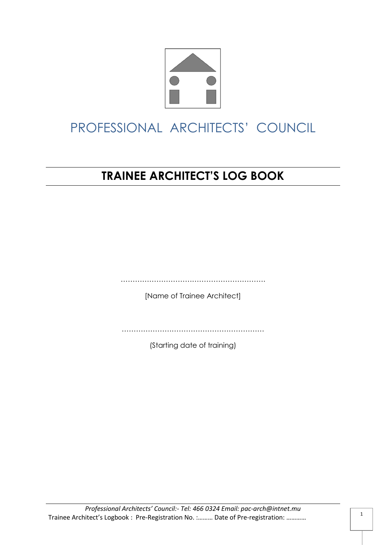

# **TRAINEE ARCHITECT'S LOG BOOK**

…………………………………………………….

[Name of Trainee Architect]

……………………………………………………………………

(Starting date of training)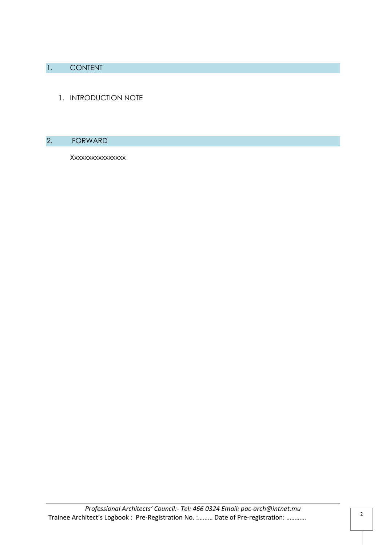### 1. CONTENT

1. INTRODUCTION NOTE

#### 2. FORWARD

Xxxxxxxxxxxxxxxx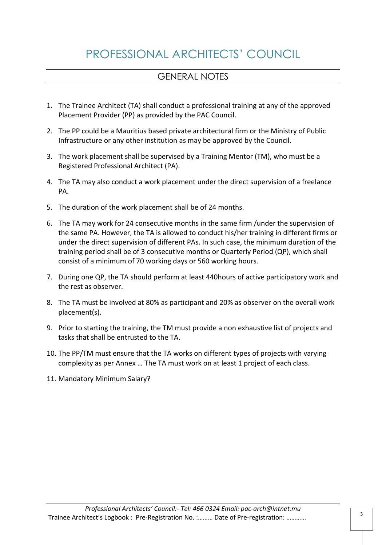### GENERAL NOTES

- 1. The Trainee Architect (TA) shall conduct a professional training at any of the approved Placement Provider (PP) as provided by the PAC Council.
- 2. The PP could be a Mauritius based private architectural firm or the Ministry of Public Infrastructure or any other institution as may be approved by the Council.
- 3. The work placement shall be supervised by a Training Mentor (TM), who must be a Registered Professional Architect (PA).
- 4. The TA may also conduct a work placement under the direct supervision of a freelance PA.
- 5. The duration of the work placement shall be of 24 months.
- 6. The TA may work for 24 consecutive months in the same firm /under the supervision of the same PA. However, the TA is allowed to conduct his/her training in different firms or under the direct supervision of different PAs. In such case, the minimum duration of the training period shall be of 3 consecutive months or Quarterly Period (QP), which shall consist of a minimum of 70 working days or 560 working hours.
- 7. During one QP, the TA should perform at least 440hours of active participatory work and the rest as observer.
- 8. The TA must be involved at 80% as participant and 20% as observer on the overall work placement(s).
- 9. Prior to starting the training, the TM must provide a non exhaustive list of projects and tasks that shall be entrusted to the TA.
- 10. The PP/TM must ensure that the TA works on different types of projects with varying complexity as per Annex … The TA must work on at least 1 project of each class.
- 11. Mandatory Minimum Salary?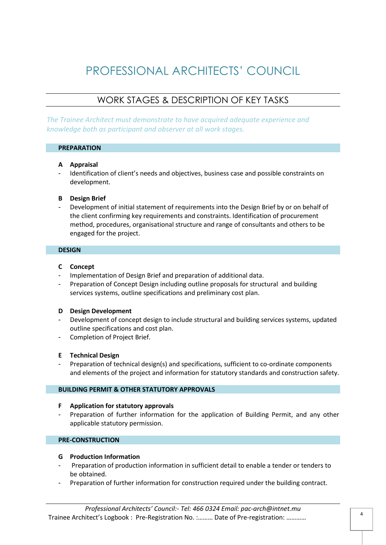### WORK STAGES & DESCRIPTION OF KEY TASKS

*The Trainee Architect must demonstrate to have acquired adequate experience and knowledge both as participant and observer at all work stages.*

#### **PREPARATION**

#### **A Appraisal**

Identification of client's needs and objectives, business case and possible constraints on development.

#### **B Design Brief**

Development of initial statement of requirements into the Design Brief by or on behalf of the client confirming key requirements and constraints. Identification of procurement method, procedures, organisational structure and range of consultants and others to be engaged for the project.

#### **DESIGN**

#### **C Concept**

- Implementation of Design Brief and preparation of additional data.
- Preparation of Concept Design including outline proposals for structural and building services systems, outline specifications and preliminary cost plan.

#### **D Design Development**

- Development of concept design to include structural and building services systems, updated outline specifications and cost plan.
- Completion of Project Brief.

#### **E Technical Design**

Preparation of technical design(s) and specifications, sufficient to co-ordinate components and elements of the project and information for statutory standards and construction safety.

#### **BUILDING PERMIT & OTHER STATUTORY APPROVALS**

#### **F Application for statutory approvals**

- Preparation of further information for the application of Building Permit, and any other applicable statutory permission.

#### **PRE-CONSTRUCTION**

#### **G Production Information**

- Preparation of production information in sufficient detail to enable a tender or tenders to be obtained.
- Preparation of further information for construction required under the building contract.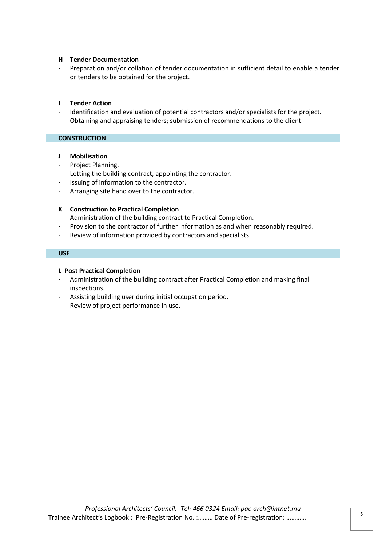#### **H Tender Documentation**

Preparation and/or collation of tender documentation in sufficient detail to enable a tender or tenders to be obtained for the project.

#### **I Tender Action**

- Identification and evaluation of potential contractors and/or specialists for the project.
- Obtaining and appraising tenders; submission of recommendations to the client.

# **CONSTRUCTION**

#### **J Mobilisation**

- Project Planning.
- Letting the building contract, appointing the contractor.
- Issuing of information to the contractor.
- Arranging site hand over to the contractor.

#### **K Construction to Practical Completion**

- Administration of the building contract to Practical Completion.
- Provision to the contractor of further Information as and when reasonably required.
- Review of information provided by contractors and specialists.

#### **USE**

#### **L Post Practical Completion**

- Administration of the building contract after Practical Completion and making final inspections.
- Assisting building user during initial occupation period.
- Review of project performance in use.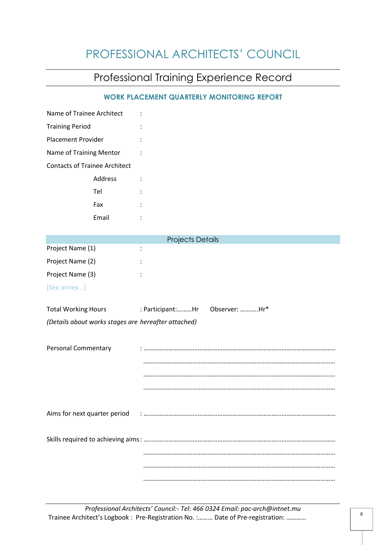# Professional Training Experience Record

#### **WORK PLACEMENT QUARTERLY MONITORING REPORT**

| Name of Trainee Architect                           |                                   |
|-----------------------------------------------------|-----------------------------------|
| <b>Training Period</b>                              |                                   |
| <b>Placement Provider</b>                           |                                   |
| Name of Training Mentor                             |                                   |
| <b>Contacts of Trainee Architect</b>                |                                   |
| Address                                             |                                   |
| Tel                                                 |                                   |
| Fax                                                 |                                   |
| Email                                               |                                   |
|                                                     |                                   |
|                                                     | <b>Projects Details</b>           |
| Project Name (1)                                    |                                   |
| Project Name (2)                                    |                                   |
| Project Name (3)                                    |                                   |
| [See annex ]                                        |                                   |
| <b>Total Working Hours</b>                          | Observer: Hr*<br>: Participant:Hr |
| (Details about works stages are hereafter attached) |                                   |
|                                                     |                                   |
| Personal Commentary                                 |                                   |
|                                                     |                                   |
|                                                     |                                   |
|                                                     |                                   |
|                                                     |                                   |
|                                                     |                                   |
|                                                     |                                   |
|                                                     |                                   |
|                                                     |                                   |
|                                                     |                                   |
|                                                     |                                   |

*Professional Architects' Council:- Tel: 466 0324 Email: pac-arch@intnet.mu* Trainee Architect's Logbook : Pre-Registration No. :……… Date of Pre-registration: …………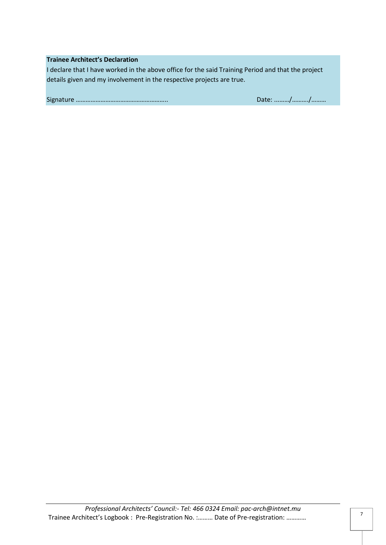#### **Trainee Architect's Declaration**

I declare that I have worked in the above office for the said Training Period and that the project details given and my involvement in the respective projects are true.

Signature ……………………………………………….. Date: ...……/………./………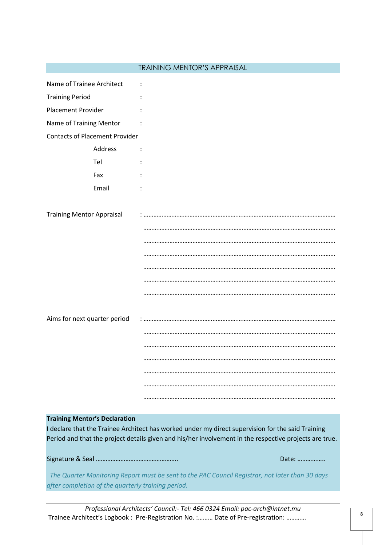|                                                                                                 | <b>TRAINING MENTOR'S APPRAISAL</b>                                                                     |  |  |
|-------------------------------------------------------------------------------------------------|--------------------------------------------------------------------------------------------------------|--|--|
| Name of Trainee Architect                                                                       |                                                                                                        |  |  |
|                                                                                                 |                                                                                                        |  |  |
| <b>Training Period</b>                                                                          |                                                                                                        |  |  |
| <b>Placement Provider</b>                                                                       |                                                                                                        |  |  |
| Name of Training Mentor                                                                         |                                                                                                        |  |  |
| <b>Contacts of Placement Provider</b>                                                           |                                                                                                        |  |  |
| Address                                                                                         |                                                                                                        |  |  |
| Tel                                                                                             |                                                                                                        |  |  |
| Fax                                                                                             |                                                                                                        |  |  |
| Email                                                                                           |                                                                                                        |  |  |
|                                                                                                 |                                                                                                        |  |  |
| <b>Training Mentor Appraisal</b>                                                                |                                                                                                        |  |  |
|                                                                                                 |                                                                                                        |  |  |
|                                                                                                 |                                                                                                        |  |  |
|                                                                                                 |                                                                                                        |  |  |
|                                                                                                 |                                                                                                        |  |  |
|                                                                                                 |                                                                                                        |  |  |
|                                                                                                 |                                                                                                        |  |  |
|                                                                                                 |                                                                                                        |  |  |
| Aims for next quarter period                                                                    |                                                                                                        |  |  |
|                                                                                                 |                                                                                                        |  |  |
|                                                                                                 |                                                                                                        |  |  |
|                                                                                                 |                                                                                                        |  |  |
|                                                                                                 |                                                                                                        |  |  |
|                                                                                                 |                                                                                                        |  |  |
|                                                                                                 |                                                                                                        |  |  |
|                                                                                                 |                                                                                                        |  |  |
| <b>Training Mentor's Declaration</b>                                                            |                                                                                                        |  |  |
|                                                                                                 | I declare that the Trainee Architect has worked under my direct supervision for the said Training      |  |  |
|                                                                                                 | Period and that the project details given and his/her involvement in the respective projects are true. |  |  |
|                                                                                                 |                                                                                                        |  |  |
|                                                                                                 | Date:                                                                                                  |  |  |
| The Quarter Monitoring Report must be sent to the PAC Council Registrar, not later than 30 days |                                                                                                        |  |  |
| after completion of the quarterly training period.                                              |                                                                                                        |  |  |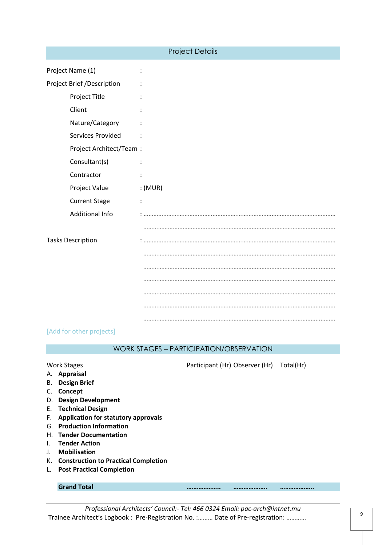| <b>Project Details</b>     |                      |  |  |  |
|----------------------------|----------------------|--|--|--|
| Project Name (1)           | :                    |  |  |  |
| Project Brief /Description |                      |  |  |  |
| Project Title              |                      |  |  |  |
| Client                     |                      |  |  |  |
| Nature/Category            |                      |  |  |  |
| Services Provided          |                      |  |  |  |
| Project Architect/Team :   |                      |  |  |  |
| Consultant(s)              |                      |  |  |  |
| Contractor                 |                      |  |  |  |
| Project Value              | :(MUR)               |  |  |  |
| <b>Current Stage</b>       | $\ddot{\phantom{a}}$ |  |  |  |
| <b>Additional Info</b>     |                      |  |  |  |
|                            |                      |  |  |  |
| <b>Tasks Description</b>   |                      |  |  |  |
|                            |                      |  |  |  |
|                            |                      |  |  |  |
|                            |                      |  |  |  |
|                            |                      |  |  |  |
|                            |                      |  |  |  |
|                            |                      |  |  |  |

#### [Add for other projects]

#### WORK STAGES – PARTICIPATION/OBSERVATION

Work Stages **Participant (Hr) Observer (Hr)** Total (Hr)

- A. **Appraisal**  B. **Design Brief**
- C. **Concept**
- D. **Design Development**
- E. **Technical Design**
- F. **Application for statutory approvals**
- G. **Production Information**
- H. **Tender Documentation**
- I. **Tender Action**
- J. **Mobilisation**
- K. **Construction to Practical Completion**
- L. **Post Practical Completion**

#### **Grand Total ……………….. ……………….. ………………..**

*Professional Architects' Council:- Tel: 466 0324 Email: pac-arch@intnet.mu* Trainee Architect's Logbook : Pre-Registration No. :……… Date of Pre-registration: …………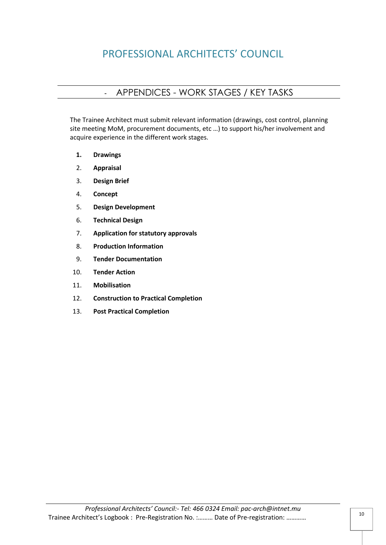### - APPENDICES - WORK STAGES / KEY TASKS

The Trainee Architect must submit relevant information (drawings, cost control, planning site meeting MoM, procurement documents, etc …) to support his/her involvement and acquire experience in the different work stages.

- **1. Drawings**
- 2. **Appraisal**
- 3. **Design Brief**
- 4. **Concept**
- 5. **Design Development**
- 6. **Technical Design**
- 7. **Application for statutory approvals**
- 8. **Production Information**
- 9. **Tender Documentation**
- 10. **Tender Action**
- 11. **Mobilisation**
- 12. **Construction to Practical Completion**
- 13. **Post Practical Completion**